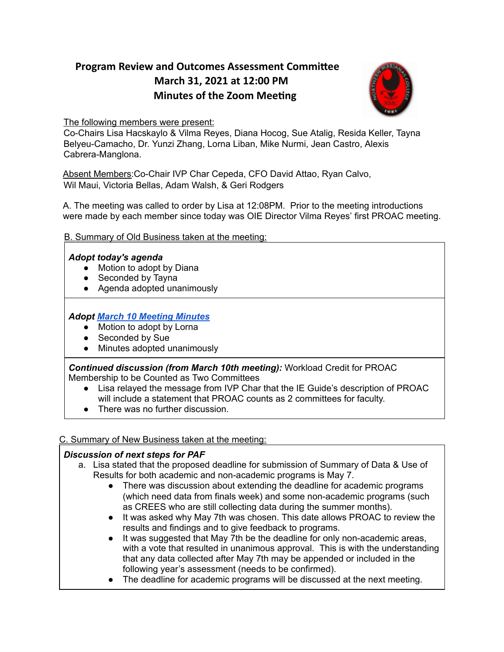# **Program Review and Outcomes Assessment Committee March 31, 2021 at 12:00 PM Minutes of the Zoom Meeting**



The following members were present:

Co-Chairs Lisa Hacskaylo & Vilma Reyes, Diana Hocog, Sue Atalig, Resida Keller, Tayna Belyeu-Camacho, Dr. Yunzi Zhang, Lorna Liban, Mike Nurmi, Jean Castro, Alexis Cabrera-Manglona.

Absent Members:Co-Chair IVP Char Cepeda, CFO David Attao, Ryan Calvo, Wil Maui, Victoria Bellas, Adam Walsh, & Geri Rodgers

A. The meeting was called to order by Lisa at 12:08PM. Prior to the meeting introductions were made by each member since today was OIE Director Vilma Reyes' first PROAC meeting.

# B. Summary of Old Business taken at the meeting:

## *Adopt today's agenda*

- Motion to adopt by Diana
- Seconded by Tayna
- Agenda adopted unanimously

# *Adopt March 10 Meeting [Minutes](https://drive.google.com/file/d/1ysCgEMEoy-8aIG1COmd4G7-B3J4VZJFu/view?usp=sharing)*

- Motion to adopt by Lorna
- Seconded by Sue
- Minutes adopted unanimously

*Continued discussion (from March 10th meeting):* Workload Credit for PROAC Membership to be Counted as Two Committees

- Lisa relayed the message from IVP Char that the IE Guide's description of PROAC will include a statement that PROAC counts as 2 committees for faculty.
- There was no further discussion.

## C. Summary of New Business taken at the meeting:

## *Discussion of next steps for PAF*

- a. Lisa stated that the proposed deadline for submission of Summary of Data & Use of Results for both academic and non-academic programs is May 7.
	- There was discussion about extending the deadline for academic programs (which need data from finals week) and some non-academic programs (such as CREES who are still collecting data during the summer months).
	- It was asked why May 7th was chosen. This date allows PROAC to review the results and findings and to give feedback to programs.
	- It was suggested that May 7th be the deadline for only non-academic areas, with a vote that resulted in unanimous approval. This is with the understanding that any data collected after May 7th may be appended or included in the following year's assessment (needs to be confirmed).
	- The deadline for academic programs will be discussed at the next meeting.